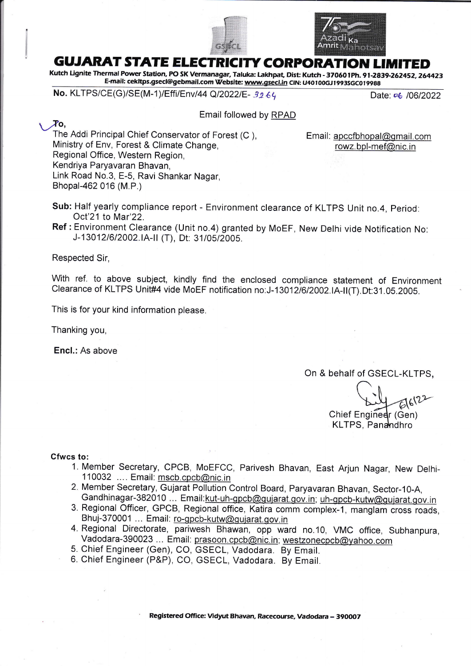



## **GUJARAT STATE ELECTRICITY CORPOR**

Kutch Lignite Thermal Power Station, PO SK Vermanagar, Taluka: Lakhpat, Dist: Kutch - 370601Ph. 91-2839-262452, 264423 E-mail: cekltps.gsecl@gebmail.com Website: www.gsecl.in CIN: U40100GJ1993SGC019988

No. KLTPS/CE(G)/SE(M-1)/Effi/Env/44 Q/2022/E- 3264 Date: 06 /06/2022

 $\chi_{\rm O}$ 

Email followed by RPAD

The Addi Principal Chief Conservator of Forest (C ), Email: apccfbhopal@gmail.com<br>Ministry of Env, Forest & Climate Change, rowz.bpl-mef@nic.in Ministry of Env, Forest & Climate Change, Regional Office, Western Region, Kendriya Paryavaran Bhavan, Link Road No.3, E-5, Ravi Shankar Nagar, Bhopal-462 016 (M.P.)

Sub: Half yearly compliance report - Environment clearance of KLTPS Unit no.4, Period: Ocl'21 to Mar'22.

Ref : Environment clearance (Unit no.4) granted by MoEF, New Delhi vide Notification No: J-13012/6/2002.IA-II (T), Dt: 31/05/2005.

Respected Sir,

With ref. to above subject, kindly find the enclosed compliance statement of Environment Clearance of KLTPS Unit#4 vide MoEF notification no:J-13012/6/2002.IA-II(T).Dt:31.05.2005.

This is for your kind information please.

Thanking you,

Encl.: As above

## On & behalf of GSECL-KLTPS,

 $612 -$ 

Chief Enginedr (Gen) KLTPS, Panandhro

Cfwcs to:

- 1. Member Secretary, CPCB, MoEFCC, Parivesh Bhavan, East Arjun Nagar, New Delhi-110032 .... Email: mscb.cpcb@nic.in
- 2. Member Secretary, Gujarat Pollution Control Board, Paryavaran Bhavan, Sector-10-A, Gandhinagar-382010 ... Email: kut-uh-gpcb@gujarat.gov.in; uh-gpcb-kutw@gujarat.gov.in
- 3. Regional Officer, GPCB, Regional office, Katira comm complex-1, manglam cross roads, Bhuj-370001 ... Email: ro-qpcb-kutw@gujarat.gov.in
- 4. Regional Directorate, pariwesh Bhawan, opp ward no.10, VMC office, Subhanpura vadodara-390023 ... Email: prasoon.cpcb@nic. in; westzonecpcb@yahoo.com
- 5. Chief Engineer (Gen), CO, GSECL, Vadodara. By Email.
- 6. Chief Engineer (P&P), CO, GSECL, Vadodara. By Email.

Registered Office: Mdyut Bhavan, Racecourse, Vadodara - 39OOO7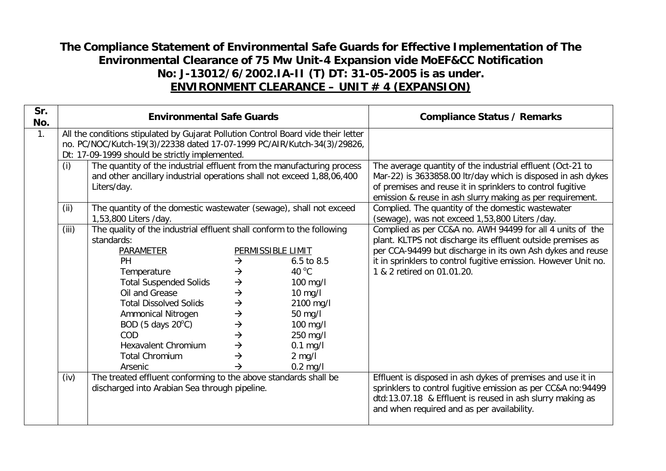## **The Compliance Statement of Environmental Safe Guards for Effective Implementation of The Environmental Clearance of 75 Mw Unit-4 Expansion vide MoEF&CC Notification No: J-13012/6/2002.IA-II (T) DT: 31-05-2005 is as under. ENVIRONMENT CLEARANCE – UNIT # 4 (EXPANSION)**

| Sr.<br>No. |       | <b>Environmental Safe Guards</b>                                                                                                                                                                                                                                                                                                        |                                                                                                                                                                             | <b>Compliance Status / Remarks</b>                                                                                                                                       |                                                                                                                                                                                                                                                                                         |
|------------|-------|-----------------------------------------------------------------------------------------------------------------------------------------------------------------------------------------------------------------------------------------------------------------------------------------------------------------------------------------|-----------------------------------------------------------------------------------------------------------------------------------------------------------------------------|--------------------------------------------------------------------------------------------------------------------------------------------------------------------------|-----------------------------------------------------------------------------------------------------------------------------------------------------------------------------------------------------------------------------------------------------------------------------------------|
| 1.         | (i)   | All the conditions stipulated by Gujarat Pollution Control Board vide their letter<br>no. PC/NOC/Kutch-19(3)/22338 dated 17-07-1999 PC/AIR/Kutch-34(3)/29826,<br>Dt: 17-09-1999 should be strictly implemented.<br>The quantity of the industrial effluent from the manufacturing process                                               |                                                                                                                                                                             | The average quantity of the industrial effluent (Oct-21 to                                                                                                               |                                                                                                                                                                                                                                                                                         |
|            |       | Liters/day.                                                                                                                                                                                                                                                                                                                             | and other ancillary industrial operations shall not exceed 1,88,06,400                                                                                                      |                                                                                                                                                                          | Mar-22) is 3633858.00 ltr/day which is disposed in ash dykes<br>of premises and reuse it in sprinklers to control fugitive<br>emission & reuse in ash slurry making as per requirement.                                                                                                 |
|            | (ii)  | The quantity of the domestic wastewater (sewage), shall not exceed<br>1,53,800 Liters /day.                                                                                                                                                                                                                                             |                                                                                                                                                                             |                                                                                                                                                                          | Complied. The quantity of the domestic wastewater<br>(sewage), was not exceed 1,53,800 Liters /day.                                                                                                                                                                                     |
|            | (iii) | The quality of the industrial effluent shall conform to the following<br>standards:<br>PARAMETER<br>PH<br>Temperature<br><b>Total Suspended Solids</b><br>Oil and Grease<br><b>Total Dissolved Solids</b><br>Ammonical Nitrogen<br>BOD (5 days $20^{\circ}$ C)<br>COD<br><b>Hexavalent Chromium</b><br><b>Total Chromium</b><br>Arsenic | $\rightarrow$<br>$\rightarrow$<br>$\rightarrow$<br>$\rightarrow$<br>$\rightarrow$<br>$\rightarrow$<br>$\rightarrow$<br>$\rightarrow$<br>$\rightarrow$<br>$\rightarrow$<br>→ | PERMISSIBLE LIMIT<br>$6.5$ to $8.5$<br>40 $\degree$ C<br>$100$ mg/l<br>$10$ mg/l<br>2100 mg/l<br>50 mg/l<br>100 mg/l<br>250 mg/l<br>$0.1$ mg/l<br>$2$ mg/l<br>$0.2$ mg/l | Complied as per CC&A no. AWH 94499 for all 4 units of the<br>plant. KLTPS not discharge its effluent outside premises as<br>per CCA-94499 but discharge in its own Ash dykes and reuse<br>it in sprinklers to control fugitive emission. However Unit no.<br>1 & 2 retired on 01.01.20. |
|            | (iv)  | The treated effluent conforming to the above standards shall be<br>discharged into Arabian Sea through pipeline.                                                                                                                                                                                                                        |                                                                                                                                                                             |                                                                                                                                                                          | Effluent is disposed in ash dykes of premises and use it in<br>sprinklers to control fugitive emission as per CC&A no:94499<br>dtd:13.07.18 & Effluent is reused in ash slurry making as<br>and when required and as per availability.                                                  |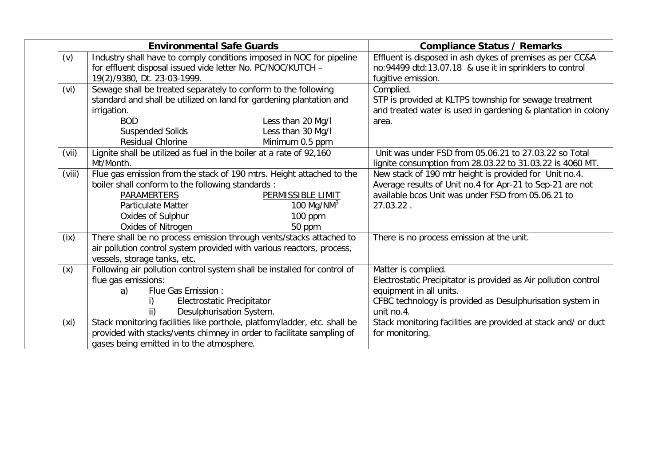|                   | <b>Environmental Safe Guards</b>                                          | <b>Compliance Status / Remarks</b>                              |  |
|-------------------|---------------------------------------------------------------------------|-----------------------------------------------------------------|--|
| (v)               | Industry shall have to comply conditions imposed in NOC for pipeline      | Effluent is disposed in ash dykes of premises as per CC&A       |  |
|                   | for effluent disposal issued vide letter No. PC/NOC/KUTCH -               | no:94499 dtd:13.07.18 & use it in sprinklers to control         |  |
|                   | 19(2)/9380, Dt. 23-03-1999.                                               | fugitive emission.                                              |  |
| (vi)              | Sewage shall be treated separately to conform to the following            | Complied.                                                       |  |
|                   | standard and shall be utilized on land for gardening plantation and       | STP is provided at KLTPS township for sewage treatment          |  |
|                   | irrigation.                                                               | and treated water is used in gardening & plantation in colony   |  |
|                   | <b>BOD</b><br>Less than 20 Mg/I                                           | area.                                                           |  |
|                   | <b>Suspended Solids</b><br>Less than 30 Mg/l                              |                                                                 |  |
|                   | Residual Chlorine<br>Minimum 0.5 ppm                                      |                                                                 |  |
| (vii)             | Lignite shall be utilized as fuel in the boiler at a rate of 92,160       | Unit was under FSD from 05.06.21 to 27.03.22 so Total           |  |
|                   | Mt/Month.                                                                 | lignite consumption from 28.03.22 to 31.03.22 is 4060 MT.       |  |
| (viii)            | Flue gas emission from the stack of 190 mtrs. Height attached to the      | New stack of 190 mtr height is provided for Unit no.4.          |  |
|                   | boiler shall conform to the following standards :                         | Average results of Unit no.4 for Apr-21 to Sep-21 are not       |  |
|                   | <b>PARAMERTERS</b><br>PERMISSIBLE LIMIT                                   | available bcos Unit was under FSD from 05.06.21 to              |  |
|                   | 100 Mg/NM $3$<br><b>Particulate Matter</b>                                | 27.03.22.                                                       |  |
|                   | Oxides of Sulphur<br>100 ppm                                              |                                                                 |  |
|                   | Oxides of Nitrogen<br>50 ppm                                              |                                                                 |  |
| (ix)              | There shall be no process emission through vents/stacks attached to       | There is no process emission at the unit.                       |  |
|                   | air pollution control system provided with various reactors, process,     |                                                                 |  |
|                   | vessels, storage tanks, etc.                                              |                                                                 |  |
| (x)               | Following air pollution control system shall be installed for control of  | Matter is complied.                                             |  |
|                   | flue gas emissions:                                                       | Electrostatic Precipitator is provided as Air pollution control |  |
|                   | Flue Gas Emission :<br>a)                                                 | equipment in all units.                                         |  |
|                   | Electrostatic Precipitator                                                | CFBC technology is provided as Desulphurisation system in       |  |
|                   | Desulphurisation System.                                                  | unit no.4.                                                      |  |
| (x <sub>i</sub> ) | Stack monitoring facilities like porthole, platform/ladder, etc. shall be | Stack monitoring facilities are provided at stack and/ or duct  |  |
|                   | provided with stacks/vents chimney in order to facilitate sampling of     | for monitoring.                                                 |  |
|                   | gases being emitted in to the atmosphere.                                 |                                                                 |  |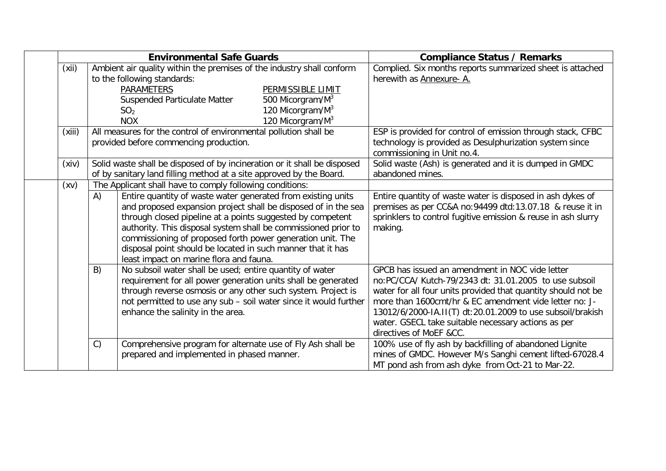| <b>Environmental Safe Guards</b> |                                                                                                                                                 |                                                                       |                              | <b>Compliance Status / Remarks</b>                                                                                |
|----------------------------------|-------------------------------------------------------------------------------------------------------------------------------------------------|-----------------------------------------------------------------------|------------------------------|-------------------------------------------------------------------------------------------------------------------|
| (xii)                            |                                                                                                                                                 | Ambient air quality within the premises of the industry shall conform |                              | Complied. Six months reports summarized sheet is attached                                                         |
|                                  |                                                                                                                                                 | to the following standards:                                           |                              | herewith as Annexure-A.                                                                                           |
|                                  |                                                                                                                                                 | <b>PARAMETERS</b>                                                     | PERMISSIBLE LIMIT            |                                                                                                                   |
|                                  |                                                                                                                                                 | Suspended Particulate Matter                                          | 500 Micorgram/M <sup>3</sup> |                                                                                                                   |
|                                  |                                                                                                                                                 | SO <sub>2</sub>                                                       | 120 Micorgram/M <sup>3</sup> |                                                                                                                   |
|                                  |                                                                                                                                                 | <b>NOX</b>                                                            | 120 Micorgram/M <sup>3</sup> |                                                                                                                   |
| (xiii)                           |                                                                                                                                                 | All measures for the control of environmental pollution shall be      |                              | ESP is provided for control of emission through stack, CFBC                                                       |
|                                  | provided before commencing production.                                                                                                          |                                                                       |                              | technology is provided as Desulphurization system since<br>commissioning in Unit no.4.                            |
| (xiv)                            | Solid waste shall be disposed of by incineration or it shall be disposed<br>of by sanitary land filling method at a site approved by the Board. |                                                                       |                              | Solid waste (Ash) is generated and it is dumped in GMDC<br>abandoned mines.                                       |
| (xv)                             |                                                                                                                                                 | The Applicant shall have to comply following conditions:              |                              |                                                                                                                   |
|                                  | A)                                                                                                                                              | Entire quantity of waste water generated from existing units          |                              | Entire quantity of waste water is disposed in ash dykes of                                                        |
|                                  |                                                                                                                                                 | and proposed expansion project shall be disposed of in the sea        |                              | premises as per CC&A no:94499 dtd:13.07.18 & reuse it in                                                          |
|                                  |                                                                                                                                                 | through closed pipeline at a points suggested by competent            |                              | sprinklers to control fugitive emission & reuse in ash slurry                                                     |
|                                  |                                                                                                                                                 | authority. This disposal system shall be commissioned prior to        |                              | making.                                                                                                           |
|                                  |                                                                                                                                                 | commissioning of proposed forth power generation unit. The            |                              |                                                                                                                   |
|                                  |                                                                                                                                                 | disposal point should be located in such manner that it has           |                              |                                                                                                                   |
|                                  |                                                                                                                                                 | least impact on marine flora and fauna.                               |                              |                                                                                                                   |
|                                  | B)                                                                                                                                              | No subsoil water shall be used; entire quantity of water              |                              | GPCB has issued an amendment in NOC vide letter                                                                   |
|                                  |                                                                                                                                                 | requirement for all power generation units shall be generated         |                              | no:PC/CCA/ Kutch-79/2343 dt: 31.01.2005 to use subsoil                                                            |
|                                  |                                                                                                                                                 | through reverse osmosis or any other such system. Project is          |                              | water for all four units provided that quantity should not be                                                     |
|                                  |                                                                                                                                                 | not permitted to use any sub - soil water since it would further      |                              | more than 1600cmt/hr & EC amendment vide letter no: J-                                                            |
|                                  |                                                                                                                                                 | enhance the salinity in the area.                                     |                              | 13012/6/2000-IA.II(T) dt:20.01.2009 to use subsoil/brakish<br>water. GSECL take suitable necessary actions as per |
|                                  |                                                                                                                                                 |                                                                       |                              | directives of MoEF &CC.                                                                                           |
|                                  | C)                                                                                                                                              | Comprehensive program for alternate use of Fly Ash shall be           |                              | 100% use of fly ash by backfilling of abandoned Lignite                                                           |
|                                  |                                                                                                                                                 | prepared and implemented in phased manner.                            |                              | mines of GMDC. However M/s Sanghi cement lifted-67028.4                                                           |
|                                  |                                                                                                                                                 |                                                                       |                              | MT pond ash from ash dyke from Oct-21 to Mar-22.                                                                  |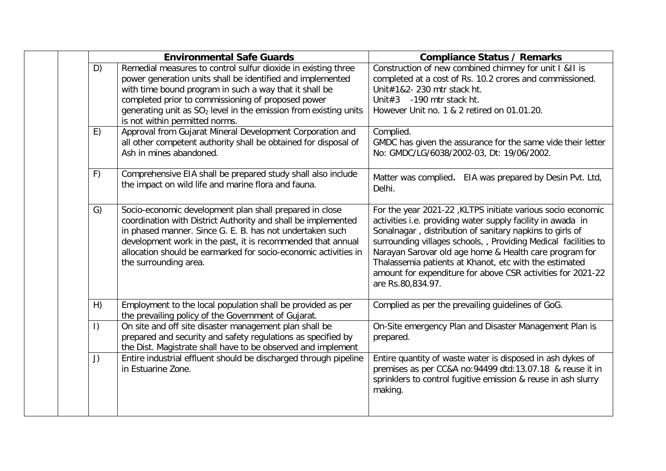|           | <b>Environmental Safe Guards</b>                                                                                                                                                                                                                                                                                                                              | <b>Compliance Status / Remarks</b>                                                                                                                                                                                                                                                                                                                                                                                                                                |  |  |
|-----------|---------------------------------------------------------------------------------------------------------------------------------------------------------------------------------------------------------------------------------------------------------------------------------------------------------------------------------------------------------------|-------------------------------------------------------------------------------------------------------------------------------------------------------------------------------------------------------------------------------------------------------------------------------------------------------------------------------------------------------------------------------------------------------------------------------------------------------------------|--|--|
| D)        | Remedial measures to control sulfur dioxide in existing three<br>power generation units shall be identified and implemented<br>with time bound program in such a way that it shall be<br>completed prior to commissioning of proposed power<br>generating unit as SO <sub>2</sub> level in the emission from existing units<br>is not within permitted norms. | Construction of new combined chimney for unit I &II is<br>completed at a cost of Rs. 10.2 crores and commissioned.<br>Unit#1&2- 230 mtr stack ht.<br>Unit#3 -190 mtr stack ht.<br>However Unit no. 1 & 2 retired on 01.01.20.                                                                                                                                                                                                                                     |  |  |
| E)        | Approval from Gujarat Mineral Development Corporation and<br>all other competent authority shall be obtained for disposal of<br>Ash in mines abandoned.                                                                                                                                                                                                       | Complied.<br>GMDC has given the assurance for the same vide their letter<br>No: GMDC/LG/6038/2002-03, Dt: 19/06/2002.                                                                                                                                                                                                                                                                                                                                             |  |  |
| F)        | Comprehensive EIA shall be prepared study shall also include<br>the impact on wild life and marine flora and fauna.                                                                                                                                                                                                                                           | Matter was complied. EIA was prepared by Desin Pvt. Ltd,<br>Delhi.                                                                                                                                                                                                                                                                                                                                                                                                |  |  |
| G)        | Socio-economic development plan shall prepared in close<br>coordination with District Authority and shall be implemented<br>in phased manner. Since G. E. B. has not undertaken such<br>development work in the past, it is recommended that annual<br>allocation should be earmarked for socio-economic activities in<br>the surrounding area.               | For the year 2021-22, KLTPS initiate various socio economic<br>activities i.e. providing water supply facility in awada in<br>Sonalnagar, distribution of sanitary napkins to girls of<br>surrounding villages schools, , Providing Medical facilities to<br>Narayan Sarovar old age home & Health care program for<br>Thalassemia patients at Khanot, etc with the estimated<br>amount for expenditure for above CSR activities for 2021-22<br>are Rs.80,834.97. |  |  |
| H)        | Employment to the local population shall be provided as per<br>the prevailing policy of the Government of Gujarat.                                                                                                                                                                                                                                            | Complied as per the prevailing guidelines of GoG.                                                                                                                                                                                                                                                                                                                                                                                                                 |  |  |
| $\vert$ ) | On site and off site disaster management plan shall be<br>prepared and security and safety regulations as specified by<br>the Dist. Magistrate shall have to be observed and implement                                                                                                                                                                        | On-Site emergency Plan and Disaster Management Plan is<br>prepared.                                                                                                                                                                                                                                                                                                                                                                                               |  |  |
| J)        | Entire industrial effluent should be discharged through pipeline<br>in Estuarine Zone.                                                                                                                                                                                                                                                                        | Entire quantity of waste water is disposed in ash dykes of<br>premises as per CC&A no:94499 dtd:13.07.18 & reuse it in<br>sprinklers to control fugitive emission & reuse in ash slurry<br>making.                                                                                                                                                                                                                                                                |  |  |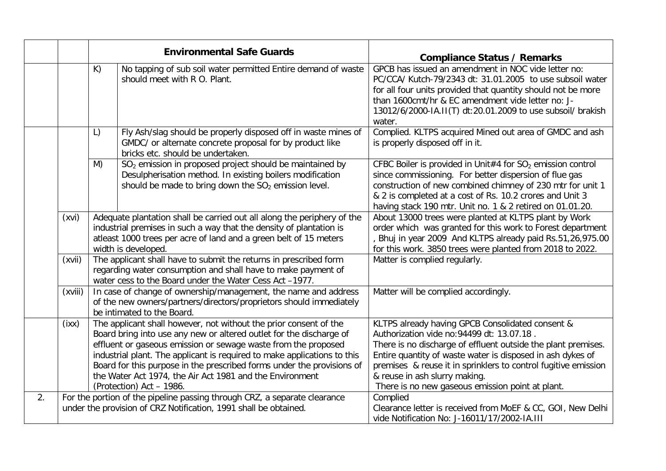|    |                                                                                                                                               |    | <b>Environmental Safe Guards</b>                                                                                                                                                                                                                                                                                                                                                                                                                         | <b>Compliance Status / Remarks</b>                                                                                                                                                                                                                                                                                                                                                   |
|----|-----------------------------------------------------------------------------------------------------------------------------------------------|----|----------------------------------------------------------------------------------------------------------------------------------------------------------------------------------------------------------------------------------------------------------------------------------------------------------------------------------------------------------------------------------------------------------------------------------------------------------|--------------------------------------------------------------------------------------------------------------------------------------------------------------------------------------------------------------------------------------------------------------------------------------------------------------------------------------------------------------------------------------|
|    |                                                                                                                                               | K) | No tapping of sub soil water permitted Entire demand of waste<br>should meet with R O. Plant.                                                                                                                                                                                                                                                                                                                                                            | GPCB has issued an amendment in NOC vide letter no:<br>PC/CCA/ Kutch-79/2343 dt: 31.01.2005 to use subsoil water<br>for all four units provided that quantity should not be more<br>than 1600cmt/hr & EC amendment vide letter no: J-<br>13012/6/2000-IA.II(T) dt:20.01.2009 to use subsoil/ brakish<br>water.                                                                       |
|    |                                                                                                                                               | L) | Fly Ash/slag should be properly disposed off in waste mines of<br>GMDC/ or alternate concrete proposal for by product like<br>bricks etc. should be undertaken.                                                                                                                                                                                                                                                                                          | Complied. KLTPS acquired Mined out area of GMDC and ash<br>is properly disposed off in it.                                                                                                                                                                                                                                                                                           |
|    |                                                                                                                                               | M) | SO <sub>2</sub> emission in proposed project should be maintained by<br>Desulpherisation method. In existing boilers modification<br>should be made to bring down the $SO2$ emission level.                                                                                                                                                                                                                                                              | CFBC Boiler is provided in Unit#4 for $SO2$ emission control<br>since commissioning. For better dispersion of flue gas<br>construction of new combined chimney of 230 mtr for unit 1<br>& 2 is completed at a cost of Rs. 10.2 crores and Unit 3<br>having stack 190 mtr. Unit no. 1 & 2 retired on 01.01.20.                                                                        |
|    | (xvi)                                                                                                                                         |    | Adequate plantation shall be carried out all along the periphery of the<br>industrial premises in such a way that the density of plantation is<br>atleast 1000 trees per acre of land and a green belt of 15 meters<br>width is developed.                                                                                                                                                                                                               | About 13000 trees were planted at KLTPS plant by Work<br>order which was granted for this work to Forest department<br>Bhuj in year 2009 And KLTPS already paid Rs.51,26,975.00<br>for this work. 3850 trees were planted from 2018 to 2022.                                                                                                                                         |
|    | (xvii)                                                                                                                                        |    | The applicant shall have to submit the returns in prescribed form<br>regarding water consumption and shall have to make payment of<br>water cess to the Board under the Water Cess Act -1977.                                                                                                                                                                                                                                                            | Matter is complied regularly.                                                                                                                                                                                                                                                                                                                                                        |
|    | (xviii)                                                                                                                                       |    | In case of change of ownership/management, the name and address<br>of the new owners/partners/directors/proprietors should immediately<br>be intimated to the Board.                                                                                                                                                                                                                                                                                     | Matter will be complied accordingly.                                                                                                                                                                                                                                                                                                                                                 |
|    | (ixx)                                                                                                                                         |    | The applicant shall however, not without the prior consent of the<br>Board bring into use any new or altered outlet for the discharge of<br>effluent or gaseous emission or sewage waste from the proposed<br>industrial plant. The applicant is required to make applications to this<br>Board for this purpose in the prescribed forms under the provisions of<br>the Water Act 1974, the Air Act 1981 and the Environment<br>(Protection) Act - 1986. | KLTPS already having GPCB Consolidated consent &<br>Authorization vide no: 94499 dt: 13.07.18.<br>There is no discharge of effluent outside the plant premises.<br>Entire quantity of waste water is disposed in ash dykes of<br>premises & reuse it in sprinklers to control fugitive emission<br>& reuse in ash slurry making.<br>There is no new gaseous emission point at plant. |
| 2. | For the portion of the pipeline passing through CRZ, a separate clearance<br>under the provision of CRZ Notification, 1991 shall be obtained. |    |                                                                                                                                                                                                                                                                                                                                                                                                                                                          | Complied<br>Clearance letter is received from MoEF & CC, GOI, New Delhi<br>vide Notification No: J-16011/17/2002-IA.III                                                                                                                                                                                                                                                              |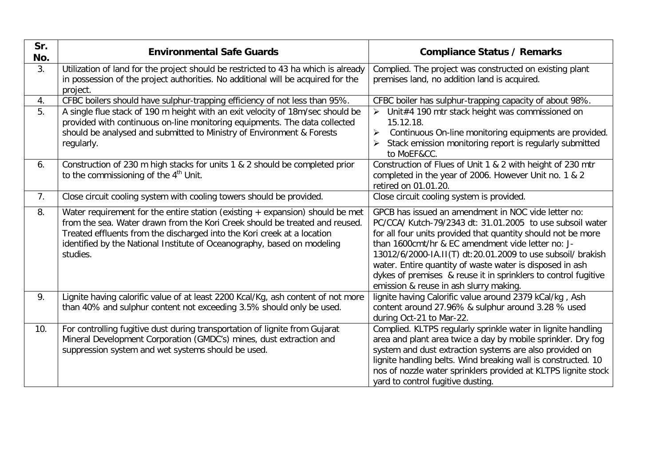| Sr.<br>No.     | <b>Environmental Safe Guards</b>                                                                                                                                                                                                                                                                                                 | <b>Compliance Status / Remarks</b>                                                                                                                                                                                                                                                                                                                                                                                                                                           |  |  |
|----------------|----------------------------------------------------------------------------------------------------------------------------------------------------------------------------------------------------------------------------------------------------------------------------------------------------------------------------------|------------------------------------------------------------------------------------------------------------------------------------------------------------------------------------------------------------------------------------------------------------------------------------------------------------------------------------------------------------------------------------------------------------------------------------------------------------------------------|--|--|
| 3.             | Utilization of land for the project should be restricted to 43 ha which is already<br>in possession of the project authorities. No additional will be acquired for the<br>project.                                                                                                                                               | Complied. The project was constructed on existing plant<br>premises land, no addition land is acquired.                                                                                                                                                                                                                                                                                                                                                                      |  |  |
| 4.             | CFBC boilers should have sulphur-trapping efficiency of not less than 95%.                                                                                                                                                                                                                                                       | CFBC boiler has sulphur-trapping capacity of about 98%.                                                                                                                                                                                                                                                                                                                                                                                                                      |  |  |
| 5.             | A single flue stack of 190 m height with an exit velocity of 18m/sec should be<br>provided with continuous on-line monitoring equipments. The data collected<br>should be analysed and submitted to Ministry of Environment & Forests<br>regularly.                                                                              | $\triangleright$ Unit#4 190 mtr stack height was commissioned on<br>15.12.18.<br>Continuous On-line monitoring equipments are provided.<br>➤<br>Stack emission monitoring report is regularly submitted<br>to MoEF&CC.                                                                                                                                                                                                                                                       |  |  |
| 6.             | Construction of 230 m high stacks for units 1 & 2 should be completed prior<br>to the commissioning of the $4th$ Unit.                                                                                                                                                                                                           | Construction of Flues of Unit 1 & 2 with height of 230 mtr<br>completed in the year of 2006. However Unit no. 1 & 2<br>retired on 01.01.20.                                                                                                                                                                                                                                                                                                                                  |  |  |
| 7 <sub>1</sub> | Close circuit cooling system with cooling towers should be provided.                                                                                                                                                                                                                                                             | Close circuit cooling system is provided.                                                                                                                                                                                                                                                                                                                                                                                                                                    |  |  |
| 8.             | Water requirement for the entire station (existing $+$ expansion) should be met<br>from the sea. Water drawn from the Kori Creek should be treated and reused.<br>Treated effluents from the discharged into the Kori creek at a location<br>identified by the National Institute of Oceanography, based on modeling<br>studies. | GPCB has issued an amendment in NOC vide letter no:<br>PC/CCA/ Kutch-79/2343 dt: 31.01.2005 to use subsoil water<br>for all four units provided that quantity should not be more<br>than 1600cmt/hr & EC amendment vide letter no: J-<br>13012/6/2000-IA.II(T) dt:20.01.2009 to use subsoil/ brakish<br>water. Entire quantity of waste water is disposed in ash<br>dykes of premises & reuse it in sprinklers to control fugitive<br>emission & reuse in ash slurry making. |  |  |
| 9.             | Lignite having calorific value of at least 2200 Kcal/Kg, ash content of not more<br>than 40% and sulphur content not exceeding 3.5% should only be used.                                                                                                                                                                         | lignite having Calorific value around 2379 kCal/kg, Ash<br>content around 27.96% & sulphur around 3.28 % used<br>during Oct-21 to Mar-22.                                                                                                                                                                                                                                                                                                                                    |  |  |
| 10.            | For controlling fugitive dust during transportation of lignite from Gujarat<br>Mineral Development Corporation (GMDC's) mines, dust extraction and<br>suppression system and wet systems should be used.                                                                                                                         | Complied. KLTPS regularly sprinkle water in lignite handling<br>area and plant area twice a day by mobile sprinkler. Dry fog<br>system and dust extraction systems are also provided on<br>lignite handling belts. Wind breaking wall is constructed. 10<br>nos of nozzle water sprinklers provided at KLTPS lignite stock<br>yard to control fugitive dusting.                                                                                                              |  |  |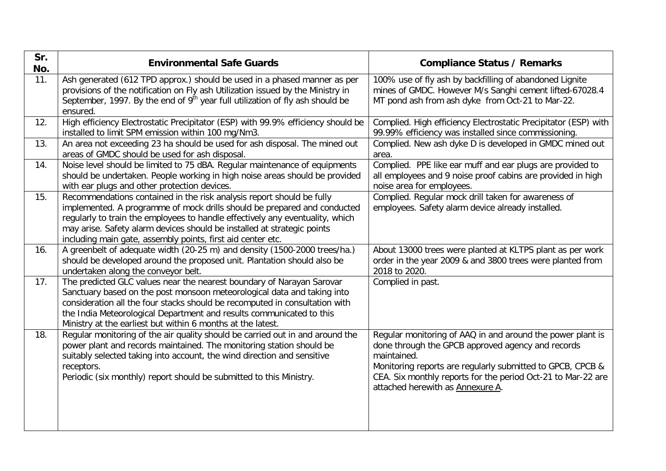| Sr.<br>No. | <b>Environmental Safe Guards</b>                                                                                                                                                                                                                                                                                                                                             | <b>Compliance Status / Remarks</b>                                                                                                                                                                                                                                                               |  |  |
|------------|------------------------------------------------------------------------------------------------------------------------------------------------------------------------------------------------------------------------------------------------------------------------------------------------------------------------------------------------------------------------------|--------------------------------------------------------------------------------------------------------------------------------------------------------------------------------------------------------------------------------------------------------------------------------------------------|--|--|
| 11.        | Ash generated (612 TPD approx.) should be used in a phased manner as per<br>provisions of the notification on Fly ash Utilization issued by the Ministry in<br>September, 1997. By the end of $9th$ year full utilization of fly ash should be<br>ensured.                                                                                                                   | 100% use of fly ash by backfilling of abandoned Lignite<br>mines of GMDC. However M/s Sanghi cement lifted-67028.4<br>MT pond ash from ash dyke from Oct-21 to Mar-22.                                                                                                                           |  |  |
| 12.        | High efficiency Electrostatic Precipitator (ESP) with 99.9% efficiency should be<br>installed to limit SPM emission within 100 mg/Nm3.                                                                                                                                                                                                                                       | Complied. High efficiency Electrostatic Precipitator (ESP) with<br>99.99% efficiency was installed since commissioning.                                                                                                                                                                          |  |  |
| 13.        | An area not exceeding 23 ha should be used for ash disposal. The mined out<br>areas of GMDC should be used for ash disposal.                                                                                                                                                                                                                                                 | Complied. New ash dyke D is developed in GMDC mined out<br>area.                                                                                                                                                                                                                                 |  |  |
| 14.        | Noise level should be limited to 75 dBA. Regular maintenance of equipments<br>should be undertaken. People working in high noise areas should be provided<br>with ear plugs and other protection devices.                                                                                                                                                                    | Complied. PPE like ear muff and ear plugs are provided to<br>all employees and 9 noise proof cabins are provided in high<br>noise area for employees.                                                                                                                                            |  |  |
| 15.        | Recommendations contained in the risk analysis report should be fully<br>implemented. A programme of mock drills should be prepared and conducted<br>regularly to train the employees to handle effectively any eventuality, which<br>may arise. Safety alarm devices should be installed at strategic points<br>including main gate, assembly points, first aid center etc. | Complied. Regular mock drill taken for awareness of<br>employees. Safety alarm device already installed.                                                                                                                                                                                         |  |  |
| 16.        | A greenbelt of adequate width (20-25 m) and density (1500-2000 trees/ha.)<br>should be developed around the proposed unit. Plantation should also be<br>undertaken along the conveyor belt.                                                                                                                                                                                  | About 13000 trees were planted at KLTPS plant as per work<br>order in the year 2009 & and 3800 trees were planted from<br>2018 to 2020.                                                                                                                                                          |  |  |
| 17.        | The predicted GLC values near the nearest boundary of Narayan Sarovar<br>Sanctuary based on the post monsoon meteorological data and taking into<br>consideration all the four stacks should be recomputed in consultation with<br>the India Meteorological Department and results communicated to this<br>Ministry at the earliest but within 6 months at the latest.       | Complied in past.                                                                                                                                                                                                                                                                                |  |  |
| 18.        | Regular monitoring of the air quality should be carried out in and around the<br>power plant and records maintained. The monitoring station should be<br>suitably selected taking into account, the wind direction and sensitive<br>receptors.<br>Periodic (six monthly) report should be submitted to this Ministry.                                                        | Regular monitoring of AAQ in and around the power plant is<br>done through the GPCB approved agency and records<br>maintained.<br>Monitoring reports are regularly submitted to GPCB, CPCB &<br>CEA. Six monthly reports for the period Oct-21 to Mar-22 are<br>attached herewith as Annexure A. |  |  |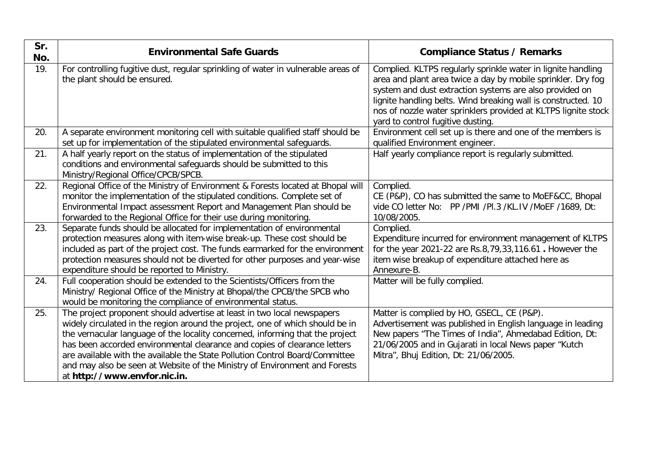| Sr.<br>No. | <b>Environmental Safe Guards</b>                                                                                                                                                                                                                                                                                                                                                                                                                                                                                     | <b>Compliance Status / Remarks</b>                                                                                                                                                                                                                                                                                                                              |  |  |
|------------|----------------------------------------------------------------------------------------------------------------------------------------------------------------------------------------------------------------------------------------------------------------------------------------------------------------------------------------------------------------------------------------------------------------------------------------------------------------------------------------------------------------------|-----------------------------------------------------------------------------------------------------------------------------------------------------------------------------------------------------------------------------------------------------------------------------------------------------------------------------------------------------------------|--|--|
| 19.        | For controlling fugitive dust, regular sprinkling of water in vulnerable areas of<br>the plant should be ensured.                                                                                                                                                                                                                                                                                                                                                                                                    | Complied. KLTPS regularly sprinkle water in lignite handling<br>area and plant area twice a day by mobile sprinkler. Dry fog<br>system and dust extraction systems are also provided on<br>lignite handling belts. Wind breaking wall is constructed. 10<br>nos of nozzle water sprinklers provided at KLTPS lignite stock<br>yard to control fugitive dusting. |  |  |
| 20.        | A separate environment monitoring cell with suitable qualified staff should be<br>set up for implementation of the stipulated environmental safeguards.                                                                                                                                                                                                                                                                                                                                                              | Environment cell set up is there and one of the members is<br>qualified Environment engineer.                                                                                                                                                                                                                                                                   |  |  |
| 21.        | A half yearly report on the status of implementation of the stipulated<br>conditions and environmental safeguards should be submitted to this<br>Ministry/Regional Office/CPCB/SPCB.                                                                                                                                                                                                                                                                                                                                 | Half yearly compliance report is regularly submitted.                                                                                                                                                                                                                                                                                                           |  |  |
| 22.        | Regional Office of the Ministry of Environment & Forests located at Bhopal will<br>monitor the implementation of the stipulated conditions. Complete set of<br>Environmental Impact assessment Report and Management Plan should be<br>forwarded to the Regional Office for their use during monitoring.                                                                                                                                                                                                             | Complied.<br>CE (P&P), CO has submitted the same to MoEF&CC, Bhopal<br>vide CO letter No: PP / PMI / PI.3 / KL. IV / MoEF / 1689, Dt:<br>10/08/2005.                                                                                                                                                                                                            |  |  |
| 23.        | Separate funds should be allocated for implementation of environmental<br>protection measures along with item-wise break-up. These cost should be<br>included as part of the project cost. The funds earmarked for the environment<br>protection measures should not be diverted for other purposes and year-wise<br>expenditure should be reported to Ministry.                                                                                                                                                     | Complied.<br>Expenditure incurred for environment management of KLTPS<br>for the year 2021-22 are Rs.8,79,33,116.61. However the<br>item wise breakup of expenditure attached here as<br>Annexure-B.                                                                                                                                                            |  |  |
| 24.        | Full cooperation should be extended to the Scientists/Officers from the<br>Ministry/ Regional Office of the Ministry at Bhopal/the CPCB/the SPCB who<br>would be monitoring the compliance of environmental status.                                                                                                                                                                                                                                                                                                  | Matter will be fully complied.                                                                                                                                                                                                                                                                                                                                  |  |  |
| 25.        | The project proponent should advertise at least in two local newspapers<br>widely circulated in the region around the project, one of which should be in<br>the vernacular language of the locality concerned, informing that the project<br>has been accorded environmental clearance and copies of clearance letters<br>are available with the available the State Pollution Control Board/Committee<br>and may also be seen at Website of the Ministry of Environment and Forests<br>at http://www.envfor.nic.in. | Matter is complied by HO, GSECL, CE (P&P).<br>Advertisement was published in English language in leading<br>New papers "The Times of India", Ahmedabad Edition, Dt:<br>21/06/2005 and in Gujarati in local News paper "Kutch<br>Mitra", Bhuj Edition, Dt: 21/06/2005.                                                                                           |  |  |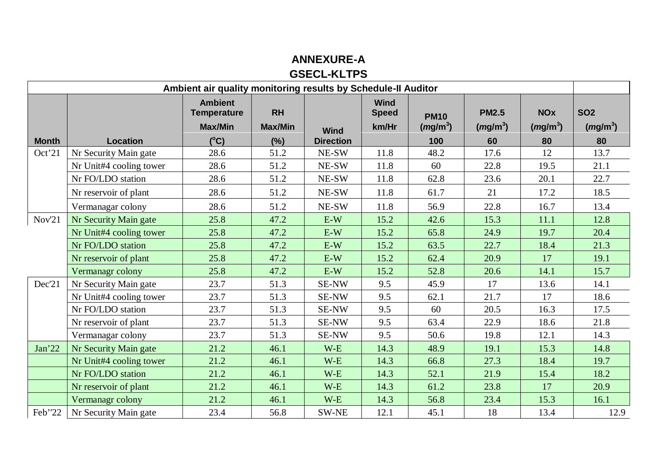## **ANNEXURE-A GSECL-KLTPS**

| Ambient air quality monitoring results by Schedule-II Auditor |                         |                                                                         |                                    |                                 |                                      |                                  |                                  |                                |                                |
|---------------------------------------------------------------|-------------------------|-------------------------------------------------------------------------|------------------------------------|---------------------------------|--------------------------------------|----------------------------------|----------------------------------|--------------------------------|--------------------------------|
| <b>Month</b>                                                  | <b>Location</b>         | <b>Ambient</b><br><b>Temperature</b><br><b>Max/Min</b><br>$(^{\circ}C)$ | <b>RH</b><br><b>Max/Min</b><br>(%) | <b>Wind</b><br><b>Direction</b> | <b>Wind</b><br><b>Speed</b><br>km/Hr | <b>PM10</b><br>$(mg/m^3)$<br>100 | <b>PM2.5</b><br>$(mg/m^3)$<br>60 | <b>NOx</b><br>$(mg/m^3)$<br>80 | <b>SO2</b><br>$(mg/m^3)$<br>80 |
| Oct'21                                                        | Nr Security Main gate   | 28.6                                                                    | 51.2                               | NE-SW                           | 11.8                                 | 48.2                             | 17.6                             | 12                             | 13.7                           |
|                                                               | Nr Unit#4 cooling tower | 28.6                                                                    | 51.2                               | NE-SW                           | 11.8                                 | 60                               | 22.8                             | 19.5                           | 21.1                           |
|                                                               | Nr FO/LDO station       | 28.6                                                                    | 51.2                               | NE-SW                           | 11.8                                 | 62.8                             | 23.6                             | 20.1                           | 22.7                           |
|                                                               | Nr reservoir of plant   | 28.6                                                                    | 51.2                               | NE-SW                           | 11.8                                 | 61.7                             | 21                               | 17.2                           | 18.5                           |
|                                                               | Vermanagar colony       | 28.6                                                                    | 51.2                               | NE-SW                           | 11.8                                 | 56.9                             | 22.8                             | 16.7                           | 13.4                           |
| Nov'21                                                        | Nr Security Main gate   | 25.8                                                                    | 47.2                               | $E-W$                           | 15.2                                 | 42.6                             | 15.3                             | 11.1                           | 12.8                           |
|                                                               | Nr Unit#4 cooling tower | 25.8                                                                    | 47.2                               | $E-W$                           | 15.2                                 | 65.8                             | 24.9                             | 19.7                           | 20.4                           |
|                                                               | Nr FO/LDO station       | 25.8                                                                    | 47.2                               | $E-W$                           | 15.2                                 | 63.5                             | 22.7                             | 18.4                           | 21.3                           |
|                                                               | Nr reservoir of plant   | 25.8                                                                    | 47.2                               | $E-W$                           | 15.2                                 | 62.4                             | 20.9                             | 17                             | 19.1                           |
|                                                               | Vermanagr colony        | 25.8                                                                    | 47.2                               | $E-W$                           | 15.2                                 | 52.8                             | 20.6                             | 14.1                           | 15.7                           |
| Dec'21                                                        | Nr Security Main gate   | 23.7                                                                    | 51.3                               | <b>SE-NW</b>                    | 9.5                                  | 45.9                             | 17                               | 13.6                           | 14.1                           |
|                                                               | Nr Unit#4 cooling tower | 23.7                                                                    | 51.3                               | SE-NW                           | 9.5                                  | 62.1                             | 21.7                             | 17                             | 18.6                           |
|                                                               | Nr FO/LDO station       | 23.7                                                                    | 51.3                               | <b>SE-NW</b>                    | 9.5                                  | 60                               | 20.5                             | 16.3                           | 17.5                           |
|                                                               | Nr reservoir of plant   | 23.7                                                                    | 51.3                               | <b>SE-NW</b>                    | 9.5                                  | 63.4                             | 22.9                             | 18.6                           | 21.8                           |
|                                                               | Vermanagar colony       | 23.7                                                                    | 51.3                               | <b>SE-NW</b>                    | 9.5                                  | 50.6                             | 19.8                             | 12.1                           | 14.3                           |
| Jan <sup>22</sup>                                             | Nr Security Main gate   | 21.2                                                                    | 46.1                               | $W-E$                           | 14.3                                 | 48.9                             | 19.1                             | 15.3                           | 14.8                           |
|                                                               | Nr Unit#4 cooling tower | 21.2                                                                    | 46.1                               | $W-E$                           | 14.3                                 | 66.8                             | 27.3                             | 18.4                           | 19.7                           |
|                                                               | Nr FO/LDO station       | 21.2                                                                    | 46.1                               | $W-E$                           | 14.3                                 | 52.1                             | 21.9                             | 15.4                           | 18.2                           |
|                                                               | Nr reservoir of plant   | 21.2                                                                    | 46.1                               | $W-E$                           | 14.3                                 | 61.2                             | 23.8                             | 17                             | 20.9                           |
|                                                               | Vermanagr colony        | 21.2                                                                    | 46.1                               | $W-E$                           | 14.3                                 | 56.8                             | 23.4                             | 15.3                           | 16.1                           |
| Feb'22                                                        | Nr Security Main gate   | 23.4                                                                    | 56.8                               | SW-NE                           | 12.1                                 | 45.1                             | 18                               | 13.4                           | 12.9                           |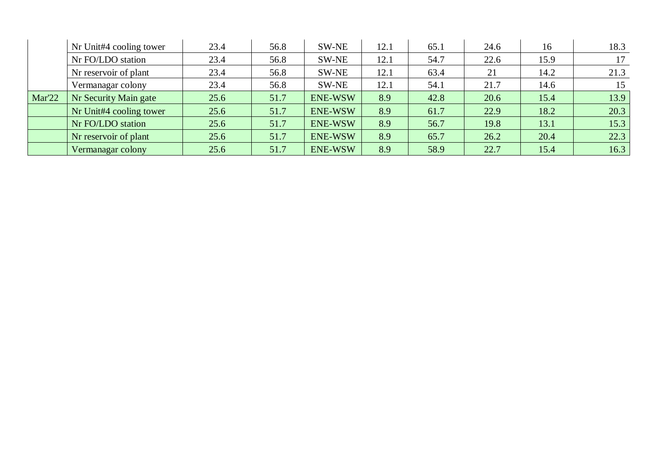|        | Nr Unit#4 cooling tower | 23.4 | 56.8 | SW-NE          | 12.1 | 65.1 | 24.6 | 16   | 18.3 |
|--------|-------------------------|------|------|----------------|------|------|------|------|------|
|        | Nr FO/LDO station       | 23.4 | 56.8 | SW-NE          | 12.1 | 54.7 | 22.6 | 15.9 | 17   |
|        | Nr reservoir of plant   | 23.4 | 56.8 | SW-NE          | 12.1 | 63.4 | 21   | 14.2 | 21.3 |
|        | Vermanagar colony       | 23.4 | 56.8 | SW-NE          | 12.1 | 54.1 | 21.7 | 14.6 | 15   |
| Mar'22 | Nr Security Main gate   | 25.6 | 51.7 | <b>ENE-WSW</b> | 8.9  | 42.8 | 20.6 | 15.4 | 13.9 |
|        | Nr Unit#4 cooling tower | 25.6 | 51.7 | <b>ENE-WSW</b> | 8.9  | 61.7 | 22.9 | 18.2 | 20.3 |
|        | Nr FO/LDO station       | 25.6 | 51.7 | <b>ENE-WSW</b> | 8.9  | 56.7 | 19.8 | 13.1 | 15.3 |
|        | Nr reservoir of plant   | 25.6 | 51.7 | <b>ENE-WSW</b> | 8.9  | 65.7 | 26.2 | 20.4 | 22.3 |
|        | Vermanagar colony       | 25.6 | 51.7 | <b>ENE-WSW</b> | 8.9  | 58.9 | 22.7 | 15.4 | 16.3 |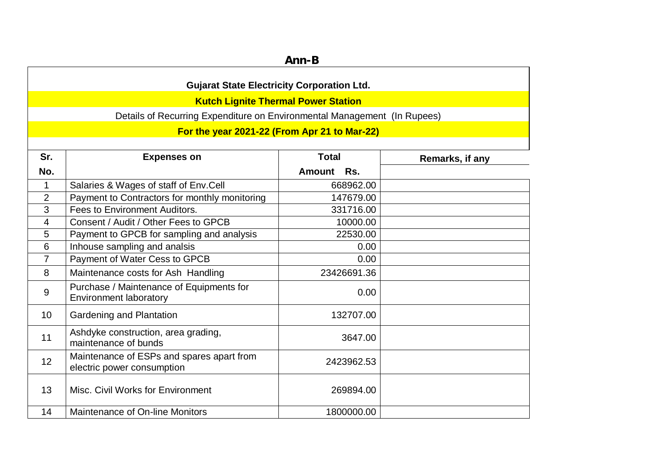| Ann-B          |                                                                           |                      |                 |  |  |  |
|----------------|---------------------------------------------------------------------------|----------------------|-----------------|--|--|--|
|                | <b>Gujarat State Electricity Corporation Ltd.</b>                         |                      |                 |  |  |  |
|                | <b>Kutch Lignite Thermal Power Station</b>                                |                      |                 |  |  |  |
|                | Details of Recurring Expenditure on Environmental Management (In Rupees)  |                      |                 |  |  |  |
|                | For the year 2021-22 (From Apr 21 to Mar-22)                              |                      |                 |  |  |  |
|                |                                                                           |                      |                 |  |  |  |
| Sr.            | <b>Expenses on</b>                                                        | <b>Total</b>         | Remarks, if any |  |  |  |
| No.            |                                                                           | <b>Amount</b><br>Rs. |                 |  |  |  |
| $\mathbf{1}$   | Salaries & Wages of staff of Env.Cell                                     | 668962.00            |                 |  |  |  |
| $\overline{2}$ | Payment to Contractors for monthly monitoring                             | 147679.00            |                 |  |  |  |
| 3              | Fees to Environment Auditors.                                             | 331716.00            |                 |  |  |  |
| 4              | Consent / Audit / Other Fees to GPCB                                      | 10000.00             |                 |  |  |  |
| 5              | Payment to GPCB for sampling and analysis                                 | 22530.00             |                 |  |  |  |
| 6              | Inhouse sampling and analsis                                              | 0.00                 |                 |  |  |  |
| $\overline{7}$ | Payment of Water Cess to GPCB                                             | 0.00                 |                 |  |  |  |
| 8              | Maintenance costs for Ash Handling                                        | 23426691.36          |                 |  |  |  |
| 9              | Purchase / Maintenance of Equipments for<br><b>Environment laboratory</b> | 0.00                 |                 |  |  |  |
| 10             | Gardening and Plantation                                                  | 132707.00            |                 |  |  |  |
| 11             | Ashdyke construction, area grading,<br>maintenance of bunds               | 3647.00              |                 |  |  |  |
| 12             | Maintenance of ESPs and spares apart from<br>electric power consumption   | 2423962.53           |                 |  |  |  |
| 13             | Misc. Civil Works for Environment                                         | 269894.00            |                 |  |  |  |
| 14             | Maintenance of On-line Monitors                                           | 1800000.00           |                 |  |  |  |